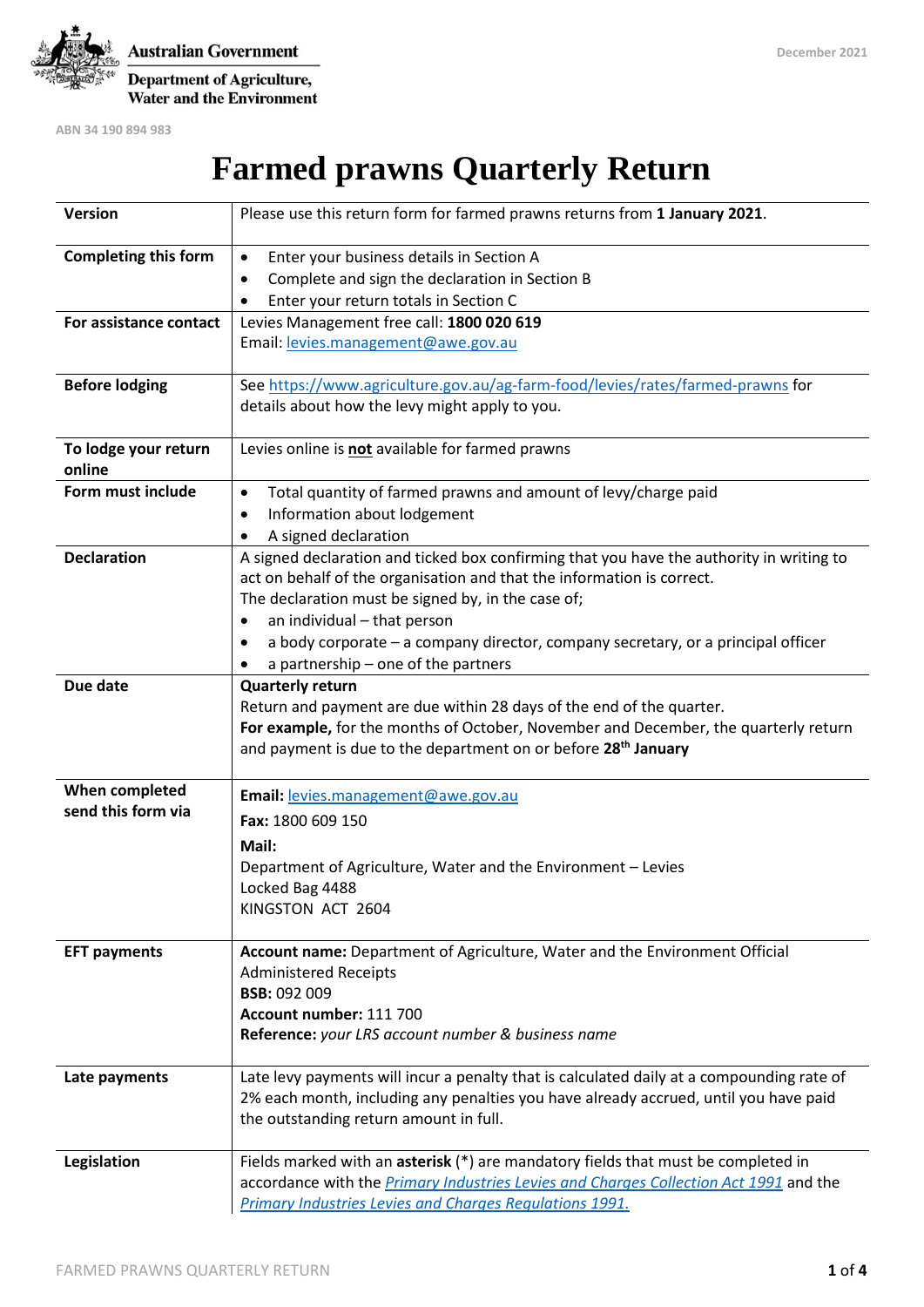

**Australian Government** Department of Agriculture, Water and the Environment

**ABN 34 190 894 983**

**Farmed prawns Quarterly Return** 

| Version                     | Please use this return form for farmed prawns returns from 1 January 2021.                                                                                                        |
|-----------------------------|-----------------------------------------------------------------------------------------------------------------------------------------------------------------------------------|
| <b>Completing this form</b> | Enter your business details in Section A<br>$\bullet$                                                                                                                             |
|                             | Complete and sign the declaration in Section B<br>٠                                                                                                                               |
|                             | Enter your return totals in Section C<br>٠                                                                                                                                        |
| For assistance contact      | Levies Management free call: 1800 020 619                                                                                                                                         |
|                             | Email: levies.management@awe.gov.au                                                                                                                                               |
|                             |                                                                                                                                                                                   |
| <b>Before lodging</b>       | See https://www.agriculture.gov.au/ag-farm-food/levies/rates/farmed-prawns for                                                                                                    |
|                             | details about how the levy might apply to you.                                                                                                                                    |
|                             |                                                                                                                                                                                   |
| To lodge your return        | Levies online is not available for farmed prawns                                                                                                                                  |
| online                      |                                                                                                                                                                                   |
| Form must include           | Total quantity of farmed prawns and amount of levy/charge paid<br>$\bullet$                                                                                                       |
|                             | Information about lodgement<br>٠                                                                                                                                                  |
|                             | A signed declaration<br>٠                                                                                                                                                         |
| <b>Declaration</b>          | A signed declaration and ticked box confirming that you have the authority in writing to                                                                                          |
|                             | act on behalf of the organisation and that the information is correct.                                                                                                            |
|                             | The declaration must be signed by, in the case of;                                                                                                                                |
|                             | an individual - that person                                                                                                                                                       |
|                             | a body corporate - a company director, company secretary, or a principal officer<br>٠                                                                                             |
|                             | a partnership - one of the partners                                                                                                                                               |
| Due date                    | <b>Quarterly return</b><br>Return and payment are due within 28 days of the end of the quarter.                                                                                   |
|                             | For example, for the months of October, November and December, the quarterly return                                                                                               |
|                             | and payment is due to the department on or before 28 <sup>th</sup> January                                                                                                        |
|                             |                                                                                                                                                                                   |
| When completed              | Email: levies.management@awe.gov.au                                                                                                                                               |
| send this form via          | Fax: 1800 609 150                                                                                                                                                                 |
|                             | Mail:                                                                                                                                                                             |
|                             | Department of Agriculture, Water and the Environment - Levies                                                                                                                     |
|                             | Locked Bag 4488                                                                                                                                                                   |
|                             | KINGSTON ACT 2604                                                                                                                                                                 |
|                             |                                                                                                                                                                                   |
| <b>EFT payments</b>         | Account name: Department of Agriculture, Water and the Environment Official                                                                                                       |
|                             | <b>Administered Receipts</b>                                                                                                                                                      |
|                             | <b>BSB: 092 009</b>                                                                                                                                                               |
|                             | Account number: 111 700                                                                                                                                                           |
|                             | Reference: your LRS account number & business name                                                                                                                                |
|                             |                                                                                                                                                                                   |
| Late payments               | Late levy payments will incur a penalty that is calculated daily at a compounding rate of<br>2% each month, including any penalties you have already accrued, until you have paid |
|                             | the outstanding return amount in full.                                                                                                                                            |
|                             |                                                                                                                                                                                   |
| Legislation                 | Fields marked with an asterisk (*) are mandatory fields that must be completed in                                                                                                 |
|                             | accordance with the Primary Industries Levies and Charges Collection Act 1991 and the                                                                                             |
|                             | <b>Primary Industries Levies and Charges Regulations 1991.</b>                                                                                                                    |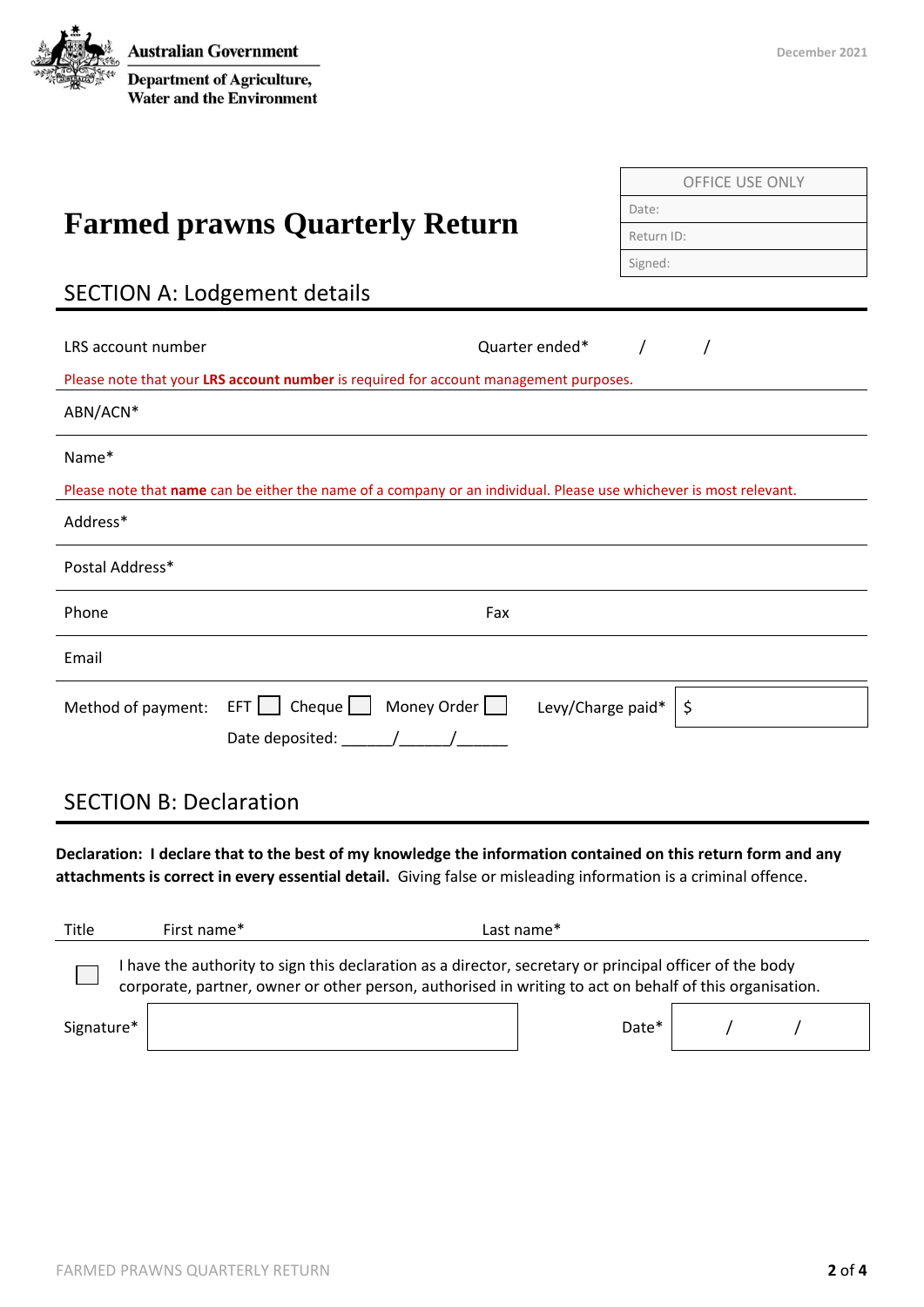

OFFICE USE ONLY

Date:

| <b>Farmed prawns Quarterly Return</b>                                                                                                                                                                                                                                                                                                                                                                             | Dale.                   |
|-------------------------------------------------------------------------------------------------------------------------------------------------------------------------------------------------------------------------------------------------------------------------------------------------------------------------------------------------------------------------------------------------------------------|-------------------------|
|                                                                                                                                                                                                                                                                                                                                                                                                                   | Return ID:              |
|                                                                                                                                                                                                                                                                                                                                                                                                                   | Signed:                 |
| <b>SECTION A: Lodgement details</b>                                                                                                                                                                                                                                                                                                                                                                               |                         |
|                                                                                                                                                                                                                                                                                                                                                                                                                   |                         |
| Quarter ended*<br>LRS account number                                                                                                                                                                                                                                                                                                                                                                              | $\sqrt{2}$<br>$\prime$  |
| Please note that your LRS account number is required for account management purposes.                                                                                                                                                                                                                                                                                                                             |                         |
| ABN/ACN*                                                                                                                                                                                                                                                                                                                                                                                                          |                         |
| Name*                                                                                                                                                                                                                                                                                                                                                                                                             |                         |
| Please note that name can be either the name of a company or an individual. Please use whichever is most relevant.                                                                                                                                                                                                                                                                                                |                         |
| Address*                                                                                                                                                                                                                                                                                                                                                                                                          |                         |
| Postal Address*                                                                                                                                                                                                                                                                                                                                                                                                   |                         |
| Phone<br>Fax                                                                                                                                                                                                                                                                                                                                                                                                      |                         |
| Email                                                                                                                                                                                                                                                                                                                                                                                                             |                         |
| Method of payment: $EFT$ $\Box$ Cheque $\Box$ Money Order $\Box$                                                                                                                                                                                                                                                                                                                                                  | Levy/Charge paid*<br>\$ |
| Date deposited: $\frac{1}{\sqrt{1-\frac{1}{2}}}\frac{1}{\sqrt{1-\frac{1}{2}}}\frac{1}{\sqrt{1-\frac{1}{2}}}\frac{1}{\sqrt{1-\frac{1}{2}}}\frac{1}{\sqrt{1-\frac{1}{2}}}\frac{1}{\sqrt{1-\frac{1}{2}}}\frac{1}{\sqrt{1-\frac{1}{2}}}\frac{1}{\sqrt{1-\frac{1}{2}}}\frac{1}{\sqrt{1-\frac{1}{2}}}\frac{1}{\sqrt{1-\frac{1}{2}}}\frac{1}{\sqrt{1-\frac{1}{2}}}\frac{1}{\sqrt{1-\frac{1}{2}}}\frac{1}{\sqrt{1-\frac{$ |                         |
|                                                                                                                                                                                                                                                                                                                                                                                                                   |                         |
|                                                                                                                                                                                                                                                                                                                                                                                                                   |                         |

# SECTION B: Declaration

**Declaration: I declare that to the best of my knowledge the information contained on this return form and any attachments is correct in every essential detail.** Giving false or misleading information is a criminal offence.

| Title                                                                                                                                                                                                              | First name* | Last name* |  |  |  |  |
|--------------------------------------------------------------------------------------------------------------------------------------------------------------------------------------------------------------------|-------------|------------|--|--|--|--|
| I have the authority to sign this declaration as a director, secretary or principal officer of the body<br>corporate, partner, owner or other person, authorised in writing to act on behalf of this organisation. |             |            |  |  |  |  |
| Signature*                                                                                                                                                                                                         |             | Date*      |  |  |  |  |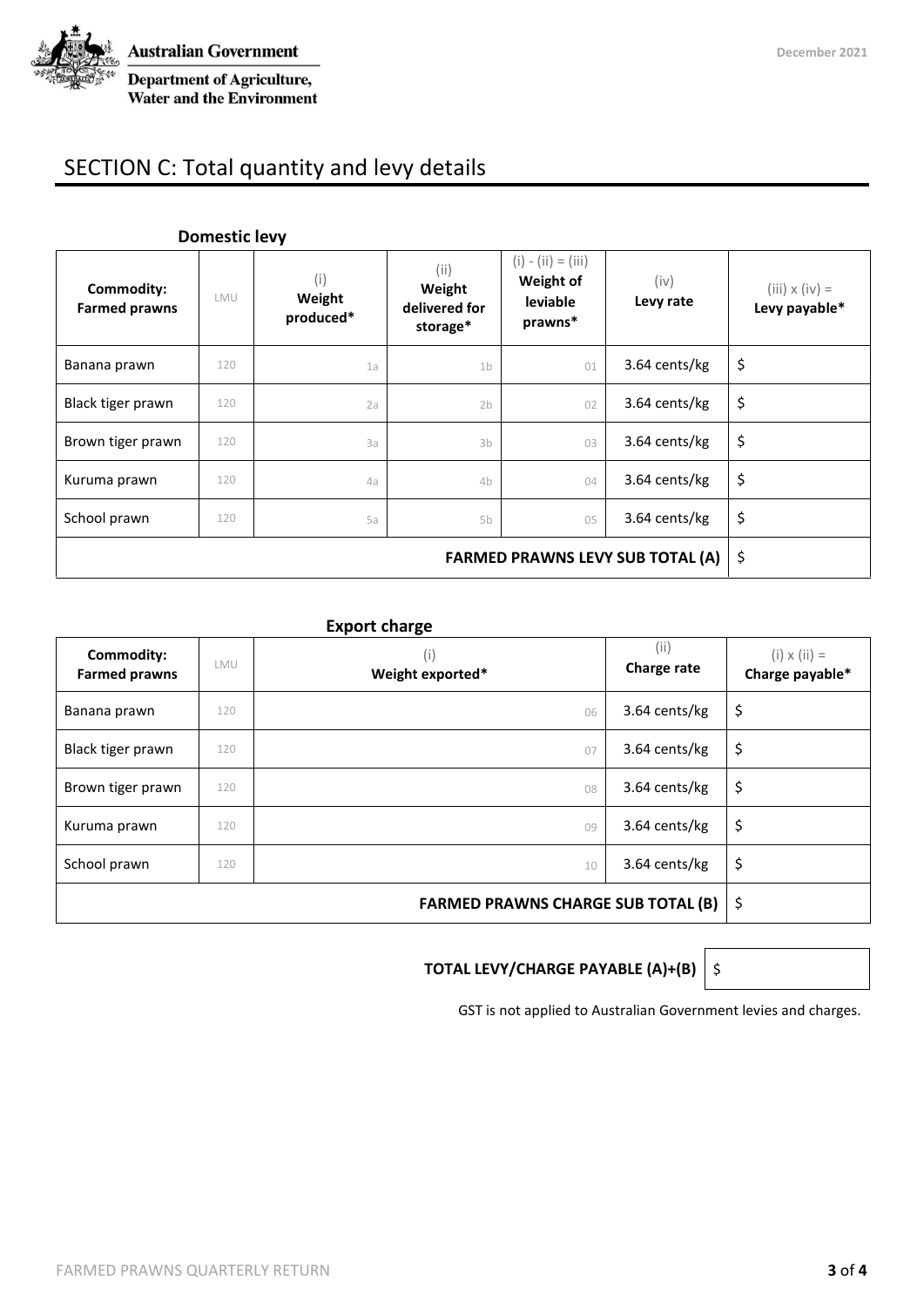

# SECTION C: Total quantity and levy details

| Commodity:<br><b>Farmed prawns</b>      | LMU | (i)<br>Weight<br>produced* | (i)<br>Weight<br>delivered for<br>storage* | $(i) - (ii) = (iii)$<br>Weight of<br>leviable<br>prawns* | (iv)<br>Levy rate | $(iii) \times (iv) =$<br>Levy payable* |
|-----------------------------------------|-----|----------------------------|--------------------------------------------|----------------------------------------------------------|-------------------|----------------------------------------|
| Banana prawn                            | 120 | 1a                         | 1 <sub>b</sub>                             | 01                                                       | 3.64 cents/kg     | \$                                     |
| Black tiger prawn                       | 120 | 2a                         | 2 <sub>b</sub>                             | 02                                                       | 3.64 cents/kg     | \$                                     |
| Brown tiger prawn                       | 120 | 3a                         | 3 <sub>b</sub>                             | 03                                                       | 3.64 cents/kg     | \$                                     |
| Kuruma prawn                            | 120 | 4a                         | 4b                                         | 04                                                       | 3.64 cents/kg     | \$                                     |
| School prawn                            | 120 | 5a                         | 5b                                         | 05                                                       | 3.64 cents/kg     | \$                                     |
| <b>FARMED PRAWNS LEVY SUB TOTAL (A)</b> |     |                            |                                            |                                                          |                   | \$                                     |

#### **Domestic levy**

#### **Export charge**

| Commodity:<br><b>Farmed prawns</b> | LMU | (i)<br>Weight exported* | (i)<br>Charge rate | $(i) \times (ii) =$<br>Charge payable* |
|------------------------------------|-----|-------------------------|--------------------|----------------------------------------|
| Banana prawn                       | 120 | 06                      | 3.64 cents/kg      | \$                                     |
| Black tiger prawn                  | 120 | 07                      | 3.64 cents/kg      | \$                                     |
| Brown tiger prawn                  | 120 | 08                      | 3.64 cents/kg      | \$                                     |
| Kuruma prawn                       | 120 | 09                      | 3.64 cents/kg      | \$                                     |
| School prawn                       | 120 | 10                      | 3.64 cents/kg      | \$                                     |
|                                    | -\$ |                         |                    |                                        |

### **TOTAL LEVY/CHARGE PAYABLE (A)+(B)**  $\Big\vert$  \$

GST is not applied to Australian Government levies and charges.